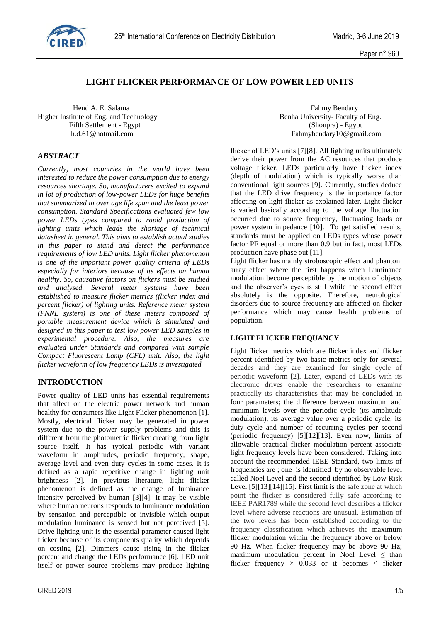

# **LIGHT FLICKER PERFORMANCE OF LOW POWER LED UNITS**

Hend A. E. Salama Fahmy Bendary Higher Institute of Eng. and Technology Benha University- Faculty of Eng. Fifth Settlement - Egypt<br>
h.d.61@hotmail.com<br>
Fahmybendary10@gmai

## *ABSTRACT*

*Currently, most countries in the world have been interested to reduce the power consumption due to energy resources shortage. So, manufacturers excited to expand in lot of production of low-power LEDs for huge benefits that summarized in over age life span and the least power consumption. Standard Specifications evaluated few low power LEDs types compared to rapid production of lighting units which leads the shortage of technical datasheet in general. This aims to establish actual studies in this paper to stand and detect the performance requirements of low LED units. Light flicker phenomenon is one of the important power quality criteria of LEDs especially for interiors because of its effects on human healthy. So, causative factors on flickers must be studied and analysed. Several meter systems have been established to measure flicker metrics (flicker index and percent flicker) of lighting units. Reference meter system (PNNL system) is one of these meters composed of portable measurement device which is simulated and designed in this paper to test low power LED samples in experimental procedure. Also, the measures are evaluated under Standards and compared with sample Compact Fluorescent Lamp (CFL) unit. Also, the light flicker waveform of low frequency LEDs is investigated*

## **INTRODUCTION**

Power quality of LED units has essential requirements that affect on the electric power network and human healthy for consumers like Light Flicker phenomenon [1]. Mostly, electrical flicker may be generated in power system due to the power supply problems and this is different from the photometric flicker creating from light source itself. It has typical periodic with variant waveform in amplitudes, periodic frequency, shape, average level and even duty cycles in some cases. It is defined as a rapid repetitive change in lighting unit brightness [2]. In previous literature, light flicker phenomenon is defined as the change of luminance intensity perceived by human [3][4]. It may be visible where human neurons responds to luminance modulation by sensation and perceptible or invisible which output modulation luminance is sensed but not perceived [5]. Drive lighting unit is the essential parameter caused light flicker because of its components quality which depends on costing [2]. Dimmers cause rising in the flicker percent and change the LEDs performance [6]. LED unit itself or power source problems may produce lighting Fahmybendary10@gmail.com

flicker of LED's units [7][8]. All lighting units ultimately derive their power from the AC resources that produce voltage flicker. LEDs particularly have flicker index (depth of modulation) which is typically worse than conventional light sources [9]. Currently, studies deduce that the LED drive frequency is the importance factor affecting on light flicker as explained later. Light flicker is varied basically according to the voltage fluctuation occurred due to source frequency, fluctuating loads or power system impedance [10]. To get satisfied results, standards must be applied on LEDs types whose power factor PF equal or more than 0.9 but in fact, most LEDs production have phase out [11].

Light flicker has mainly stroboscopic effect and phantom array effect where the first happens when Luminance modulation become perceptible by the motion of objects and the observer's eyes is still while the second effect absolutely is the opposite. Therefore, neurological disorders due to source frequency are affected on flicker performance which may cause health problems of population.

#### **LIGHT FLICKER FREQUANCY**

Light flicker metrics which are flicker index and flicker percent identified by two basic metrics only for several decades and they are examined for single cycle of periodic waveform [2]. Later, expand of LEDs with its electronic drives enable the researchers to examine practically its characteristics that may be concluded in four parameters; the difference between maximum and minimum levels over the periodic cycle (its amplitude modulation), its average value over a periodic cycle, its duty cycle and number of recurring cycles per second (periodic frequency) [5][12][13]. Even now, limits of allowable practical flicker modulation percent associate light frequency levels have been considered. Taking into account the recommended IEEE Standard, two limits of frequencies are ; one is identified by no observable level called Noel Level and the second identified by Low Risk Level [5][13][14][15]. First limit is the safe zone at which point the flicker is considered fully safe according to IEEE PAR1789 while the second level describes a flicker level where adverse reactions are unusual. Estimation of the two levels has been established according to the frequency classification which achieves the maximum flicker modulation within the frequency above or below 90 Hz. When flicker frequency may be above 90 Hz; maximum modulation percent in Noel Level  $\leq$  than flicker frequency  $\times$  0.033 or it becomes  $\leq$  flicker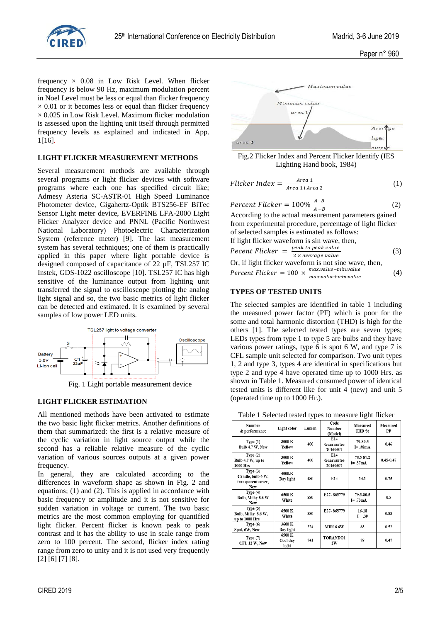

frequency  $\times$  0.08 in Low Risk Level. When flicker frequency is below 90 Hz, maximum modulation percent in Noel Level must be less or equal than flicker frequency  $\times$  0.01 or it becomes less or equal than flicker frequency  $\times$  0.025 in Low Risk Level. Maximum flicker modulation is assessed upon the lighting unit itself through permitted frequency levels as explained and indicated in App. 1[16].

#### **LIGHT FLICKER MEASUREMENT METHODS**

Several measurement methods are available through several programs or light flicker devices with software programs where each one has specified circuit like; Admesy Asteria SC-ASTR-01 High Speed Luminance Photometer device, Gigahertz-Optik BTS256-EF BiTec Sensor Light meter device, EVERFINE LFA-2000 Light Flicker Analyzer device and PNNL (Pacific Northwest National Laboratory) Photoelectric Characterization System (reference meter) [9]. The last measurement system has several techniques; one of them is practically applied in this paper where light portable device is designed composed of capacitance of 22 µF, TSL257 IC Instek, GDS-1022 oscilloscope [10]. TSL257 IC has high sensitive of the luminance output from lighting unit transferred the signal to oscilloscope plotting the analog light signal and so, the two basic metrics of light flicker can be detected and estimated. It is examined by several samples of low power LED units.



Fig. 1 Light portable measurement device

#### **LIGHT FLICKER ESTIMATION**

All mentioned methods have been activated to estimate the two basic light flicker metrics. Another definitions of them that summarized: the first is a relative measure of the cyclic variation in light source output while the second has a reliable relative measure of the cyclic variation of various sources outputs at a given power frequency.

In general, they are calculated according to the differences in waveform shape as shown in Fig. 2 and equations; (1) and (2). This is applied in accordance with basic frequency or amplitude and it is not sensitive for sudden variation in voltage or current. The two basic metrics are the most common employing for quantified light flicker. Percent flicker is known peak to peak contrast and it has the ability to use in scale range from zero to 100 percent. The second, flicker index rating range from zero to unity and it is not used very frequently [2] [6] [7] [8].



Fig.2 Flicker Index and Percent Flicker Identify (IES Lighting Hand book, 1984)

$$
Flicker Index = \frac{Area}{Area 1 + Area 2}
$$
 (1)

$$
Percent \, Flicker = 100\% \, \frac{A-B}{A+B} \tag{2}
$$

According to the actual measurement parameters gained from experimental procedure, percentage of light flicker of selected samples is estimated as follows: If light flicker waveform is sin wave, then,

Percent Flicker = 
$$
\frac{peak\ to\ peak\ value}{2 \times average\ value}
$$

\nOr, if light flicker waveform is not sine wave, then,

\n $(3)$ 

Percent Flicker =  $100 \times \frac{max value - min value}{max probability$ max.value+min.value (4)

### **TYPES OF TESTED UNITS**

The selected samples are identified in table 1 including the measured power factor (PF) which is poor for the some and total harmonic distortion (THD) is high for the others [1]. The selected tested types are seven types; LEDs types from type 1 to type 5 are bulbs and they have various power ratings, type 6 is spot 6 W, and type 7 is CFL sample unit selected for comparison. Two unit types 1, 2 and type 3, types 4 are identical in specifications but type 2 and type 4 have operated time up to 1000 Hrs. as shown in Table 1. Measured consumed power of identical tested units is different like for unit 4 (new) and unit 5 (operated time up to 1000 Hr.).

Table 1 Selected tested types to measure light flicker

|                                                              |                             | J L                                       |                               | o                        |                |
|--------------------------------------------------------------|-----------------------------|-------------------------------------------|-------------------------------|--------------------------|----------------|
| Number<br>& performance                                      | Light color                 | Code<br>Lumen<br><b>Number</b><br>(Model) |                               | Measured<br>THD %        | Measured<br>PF |
| Type(1)<br>Bulb 4.7 W, New                                   | 3000 K<br>Yellow            | 400                                       | E14<br>Guarrantee<br>20160607 | 79-80.5<br>$I = .38mA$   | 0.46           |
| Type $(2)$<br>Bulb 4.7 W, up to<br>1000 Hrs                  | 3000 K<br>Yellow            | 400                                       | E14<br>Guarrantee<br>20160607 | 78.5-81.2<br>$I = .37mA$ | $0.45 - 0.47$  |
| Type $(3)$<br>Candle, bulb 6 W,<br>transparent cover,<br>New | 4000.K<br>Day light         | E14<br>480                                |                               | 14.1                     | 0.75           |
| Type $(4)$<br>Bulb, Milky 8.6 W<br><b>New</b>                | 6500 K<br>White             | 880                                       | E <sub>27</sub> -865779       | 79.5-80.5<br>$I = .73mA$ | 0.5            |
| Type $(5)$<br>Bulb, Milky 8.6 W,<br>up to 1000 Hrs           | 6500 K<br>White             | 880                                       | E27-865779                    | $16 - 18$<br>$I = .39$   | 0.88           |
| Type $(6)$<br>Spot, 6W, New                                  | 3600 K<br>Day light         | 224                                       | <b>MIR16 6W</b>               | 83                       | 0.52           |
| Type (7)<br>CFL 12 W, New                                    | 6500 K<br>Cool day<br>light | 741                                       | TORANDO1<br>2W                | 78                       | 0.47           |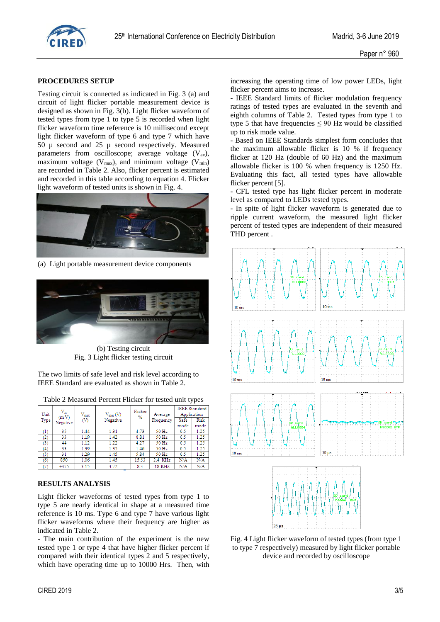

#### **PROCEDURES SETUP**

Testing circuit is connected as indicated in Fig. 3 (a) and circuit of light flicker portable measurement device is designed as shown in Fig. 3(b). Light flicker waveform of tested types from type 1 to type 5 is recorded when light flicker waveform time reference is 10 millisecond except light flicker waveform of type 6 and type 7 which have 50 µ second and 25 µ second respectively. Measured parameters from oscilloscope; average voltage  $(V_{av})$ , maximum voltage ( $V_{max}$ ), and minimum voltage ( $V_{min}$ ) are recorded in Table 2. Also, flicker percent is estimated and recorded in this table according to equation 4. Flicker light waveform of tested units is shown in Fig. 4.



(a) Light portable measurement device components



(b) Testing circuit Fig. 3 Light flicker testing circuit

The two limits of safe level and risk level according to IEEE Standard are evaluated as shown in Table 2.

| Table 2 Measured Percent Flicker for tested unit types |  |  |  |
|--------------------------------------------------------|--|--|--|
|                                                        |  |  |  |

| Unit<br>Type   | $V_{av}$<br>(mV) | $\rm{V_{max}}$<br>ത | $V_{min}(V)$<br>Negative | Flicker<br>$\frac{0}{2}$ | Average<br>Frequency | <b>IEEE</b> Standard<br>Application<br>Risk<br>Safe |      |
|----------------|------------------|---------------------|--------------------------|--------------------------|----------------------|-----------------------------------------------------|------|
|                | Negative         |                     |                          |                          |                      | mode                                                | mode |
| (1)            | 35.              | 1.44                | 1.31                     | 4.73                     | 50 Hz                | 0.5                                                 | 1.25 |
| $^{(2)}$       | 33               | 1.19                | 1.42                     | 8.81                     | 50 Hz                | 0.5                                                 | 1.25 |
| (3)            | 44               | 1.12                | 1.22                     | 4.27                     | 50 Hz                | 0.5                                                 | 1.25 |
| (4)            | 33               | 1.39                | 1.35                     | 1.46                     | 50 Hz                | 0.5                                                 | 1.25 |
| $\overline{5}$ | 31               | 1.29                | 1.45                     | 5.84                     | 50 Hz                | 0.5                                                 | 1.25 |
| (6)            | 850              | 1.06                | 1.45                     | 15.53                    | 2.4 KHz              | N/A                                                 | N/A  |
|                | $+375$           | 3.15                | 3.72                     | 8.3                      | 18 KHz               | N/A                                                 | N/A  |

#### **RESULTS ANALYSIS**

Light flicker waveforms of tested types from type 1 to type 5 are nearly identical in shape at a measured time reference is 10 ms. Type 6 and type 7 have various light flicker waveforms where their frequency are higher as indicated in Table 2.

- The main contribution of the experiment is the new tested type 1 or type 4 that have higher flicker percent if compared with their identical types 2 and 5 respectively, which have operating time up to 10000 Hrs. Then, with

increasing the operating time of low power LEDs, light flicker percent aims to increase.

- IEEE Standard limits of flicker modulation frequency ratings of tested types are evaluated in the seventh and eighth columns of Table 2. Tested types from type 1 to type 5 that have frequencies  $\leq 90$  Hz would be classified up to risk mode value.

- Based on IEEE Standards simplest form concludes that the maximum allowable flicker is 10 % if frequency flicker at 120 Hz (double of 60 Hz) and the maximum allowable flicker is 100 % when frequency is 1250 Hz. Evaluating this fact, all tested types have allowable flicker percent [5].

- CFL tested type has light flicker percent in moderate level as compared to LEDs tested types.

- In spite of light flicker waveform is generated due to ripple current waveform, the measured light flicker percent of tested types are independent of their measured THD percent .



Fig. 4 Light flicker waveform of tested types (from type 1 to type 7 respectively) measured by light flicker portable device and recorded by oscilloscope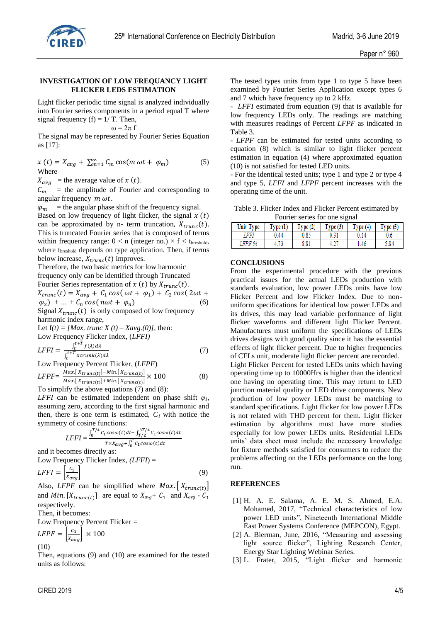

#### **INVESTIGATION OF LOW FREQUANCY LIGHT FLICKER LEDS ESTIMATION**

Light flicker periodic time signal is analyzed individually into Fourier series components in a period equal T where signal frequency (f) =  $1/T$ . Then,

 $\omega = 2\pi f$ 

The signal may be represented by Fourier Series Equation as [17]:

 $x(t) = X_{avg} + \sum_{m=1}^{\infty} C_m \cos(m \omega t + \varphi_m)$  (5) Where

 $X_{avg}$  = the average value of x (t).

 $C_m$  = the amplitude of Fourier and corresponding to angular frequency  $m \omega t$ .

 $\varphi_m$  = the angular phase shift of the frequency signal. Based on low frequency of light flicker, the signal  $x(t)$ can be approximated by n- term truncation,  $X_{trunc}(t)$ . This is truncated Fourier series that is composed of terms within frequency range:  $0 < n$  (integer no.)  $\times$  f  $<$  t<sub>hreshold</sub>, where threshold depends on type application. Then, if terms below increase,  $X_{trunc}(t)$  improves.

Therefore, the two basic metrics for low harmonic frequency only can be identified through Truncated Fourier Series representation of  $x(t)$  by  $X_{trunc}(t)$ .  $X_{trunc}(t) = X_{avg} + C_1 \cos(\omega t + \varphi_1) + C_2 \cos(2\omega t +$ 

$$
\varphi_2
$$
 + ... +  $C_n \cos(n\omega t + \varphi_n)$  (6)  
Signal  $X_{trunc}(t)$  is only composed of low frequency

harmonic index range,

Let  $f(t) = [Max. trunc X(t) - Xavg. (0)],$  then: Low Frequency Flicker Index, (*LFFI)*  $t+T$ 

$$
LFFI = \frac{\int_{t}^{t+T} f(\lambda)d\lambda}{\int_{t}^{t+T} X trunk(\lambda)d\lambda}
$$
 (7)

Low Frequency Percent Flicker, (*LFPF*)

$$
LFPF = \frac{Max.[\,X_{trunc(t)}] - Min.[\,X_{trunc(t)}]}{Max.[\,X_{trunc(t)}] + Min.[\,X_{trunc(t)}]}\times 100\tag{8}
$$

To simplify the above equations (7) and (8):

*LFFI* can be estimated independent on phase shift  $\varphi$ <sup>*I*</sup>, assuming zero, according to the first signal harmonic and then, there is one term is estimated, *C1* with notice the symmetry of cosine functions:

$$
LFFI = \frac{\int_0^{T/4} C_1 cos \omega(t) dt + \int_{T/2}^{3T/4} C_1 cos \omega(t) dt}{T \times X_{avg} + \int_0^T C_1 cos \omega(t) dt}
$$

and it becomes directly as:

Low Frequency Flicker Index, 
$$
(LFFI)
$$
 =

$$
LFFI = \left[\frac{c_1}{X_{avg}}\right] \tag{9}
$$

Also, *LFPF* can be simplified where  $Max. [X_{trunc(t)}]$ and *Min*. [ $X_{trunc(t)}$ ] are equal to  $X_{avg}$  +  $C_1$  and  $X_{avg}$  -  $C_1$ respectively.

Then, it becomes:

Low Frequency Percent Flicker *=*

$$
LFPF = \left|\frac{c_1}{x_{avg}}\right| \times 100
$$
  
(10)

Then, equations (9) and (10) are examined for the tested units as follows:

The tested types units from type 1 to type 5 have been examined by Fourier Series Application except types 6 and 7 which have frequency up to 2 kHz.

LFFI estimated from equation (9) that is available for low frequency LEDs only. The readings are matching with measures readings of Percent *LFPF* as indicated in Table 3.

- *LFPF* can be estimated for tested units according to equation (8) which is similar to light flicker percent estimation in equation (4) where approximated equation (10) is not satisfied for tested LED units.

- For the identical tested units; type 1 and type 2 or type 4 and type 5, *LFFI* and *LFPF* percent increases with the operating time of the unit.

| Table 3. Flicker Index and Flicker Percent estimated by |  |
|---------------------------------------------------------|--|
| Fourier series for one signal                           |  |

| Unit Type    | Type(1) | Type(2) | Type(3) | Type <sub>4</sub> | Type(5) |
|--------------|---------|---------|---------|-------------------|---------|
| HH)          | .44     |         |         |                   |         |
| <b>FPF %</b> |         | 8.81    | 7.4     | .46               | .84     |

#### **CONCLUSIONS**

From the experimental procedure with the previous practical issues for the actual LEDs production with standards evaluation, low power LEDs units have low Flicker Percent and low Flicker Index. Due to nonuniform specifications for identical low power LEDs and its drives, this may lead variable performance of light flicker waveforms and different light Flicker Percent. Manufactures must uniform the specifications of LEDs drives designs with good quality since it has the essential effects of light flicker percent. Due to higher frequencies of CFLs unit, moderate light flicker percent are recorded. Light Flicker Percent for tested LEDs units which having operating time up to 10000Hrs is higher than the identical one having no operating time. This may return to LED junction material quality or LED drive components. New production of low power LEDs must be matching to standard specifications. Light flicker for low power LEDs is not related with THD percent for them. Light flicker estimation by algorithms must have more studies especially for low power LEDs units. Residential LEDs units' data sheet must include the necessary knowledge for fixture methods satisfied for consumers to reduce the problems affecting on the LEDs performance on the long run.

#### **REFERENCES**

- [1] H. A. E. Salama, A. E. M. S. Ahmed, E.A. Mohamed, 2017, "Technical characteristics of low power LED units", Nineteenth International Middle East Power Systems Conference (MEPCON), Egypt.
- [2] A. Bierman, June, 2016, "Measuring and assessing light source flicker", Lighting Research Center, Energy Star Lighting Webinar Series.
- [3] L. Frater, 2015, "Light flicker and harmonic